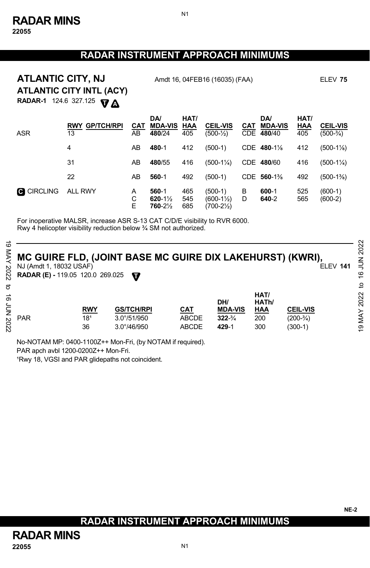### **RADAR INSTRUMENT APPROACH MINIMUMS**

N1

**ATLANTIC CITY, NJ** Amdt 16, 04FEB16 (16035) (FAA) ELEV 75 **ATLANTIC CITY INTL (ACY)** 

**RADAR-1** 124.6 327.125 **A T**

| <b>ASR</b>        | <b>RWY GP/TCH/RPI</b><br>13 | CAT<br>AB   | DA/<br><b>MDA-VIS</b><br>480/24           | HAT/<br>HAA<br>405 | <b>CEIL-VIS</b><br>$(500-1)$    | <b>CAT</b> | <b>DA</b><br><b>MDA-VIS</b><br>CDE 480/40 | HAT/<br><b>HAA</b><br>405 | <b>CEIL-VIS</b><br>$(500-3/4)$ |
|-------------------|-----------------------------|-------------|-------------------------------------------|--------------------|---------------------------------|------------|-------------------------------------------|---------------------------|--------------------------------|
|                   | 4                           | AB          | 480-1                                     | 412                | $(500-1)$                       |            | CDE 480-1%                                | 412                       | $(500-1\%)$                    |
|                   | 31                          | AB          | 480/55                                    | 416                | $(500-1\frac{1}{4})$            |            | CDE 480/60                                | 416                       | $(500-1\frac{1}{4})$           |
|                   | 22                          | AB          | 560-1                                     | 492                | $(500-1)$                       |            | CDE 560-1%                                | 492                       | $(500-1\%)$                    |
| <b>C</b> CIRCLING | ALL RWY                     | A<br>С<br>E | 560-1<br>$620 - 1\frac{1}{2}$<br>760-21/2 | 465<br>545<br>685  | (500-1)<br>(600-1½)<br>(700-2½) | в<br>D     | 600-1<br>640-2                            | 525<br>565                | $(600-1)$<br>$(600-2)$         |

For inoperative MALSR, increase ASR S-13 CAT C/D/E visibility to RVR 6000. Rwy 4 helicopter visibility reduction below ¾ SM not authorized.

#### **MC GUIRE FLD, (JOINT BASE MC GUIRE DIX LAKEHURST) (KWRI),**<br>NJ (Amdt 1, 18032 USAF) NJ (Amdt 1, 18032 USAF)

|                      |                                                                    |                                     |                                                                   |                                     |                                                       |                                           |                                             | $\sim$                        |
|----------------------|--------------------------------------------------------------------|-------------------------------------|-------------------------------------------------------------------|-------------------------------------|-------------------------------------------------------|-------------------------------------------|---------------------------------------------|-------------------------------|
| cΟ<br>2022           | NJ (Amdt 1, 18032 USAF)<br><b>RADAR (E) - 119.05 120.0 269.025</b> |                                     | MC GUIRE FLD, (JOINT BASE MC GUIRE DIX LAKEHURST) (KWRI),<br>w    |                                     |                                                       |                                           | <b>ELEV 141</b>                             | 202<br>ξ<br>9                 |
|                      |                                                                    |                                     |                                                                   |                                     |                                                       |                                           |                                             | đ                             |
| ಕ<br>ξ<br>Σ<br>I2022 | <b>PAR</b>                                                         | <b>RWY</b><br>18 <sup>1</sup><br>36 | <b>GS/TCH/RPI</b><br>$3.0^{\circ}/51/950$<br>$3.0^{\circ}/46/950$ | <b>CAT</b><br><b>ABCDE</b><br>ABCDE | DH/<br><b>MDA-VIS</b><br>$322 - \frac{3}{4}$<br>429-1 | HAT/<br>HATh/<br><b>HAA</b><br>200<br>300 | <b>CEIL-VIS</b><br>$(200-3/4)$<br>$(300-1)$ | 2022<br>MAY<br>$\overline{9}$ |

No-NOTAM MP: 0400-1100Z++ Mon-Fri, (by NOTAM if required). PAR apch avbl 1200-0200Z++ Mon-Fri.

1Rwy 18, VGSI and PAR glidepaths not coincident.

## **RADAR INSTRUMENT APPROACH MINIMUMS**